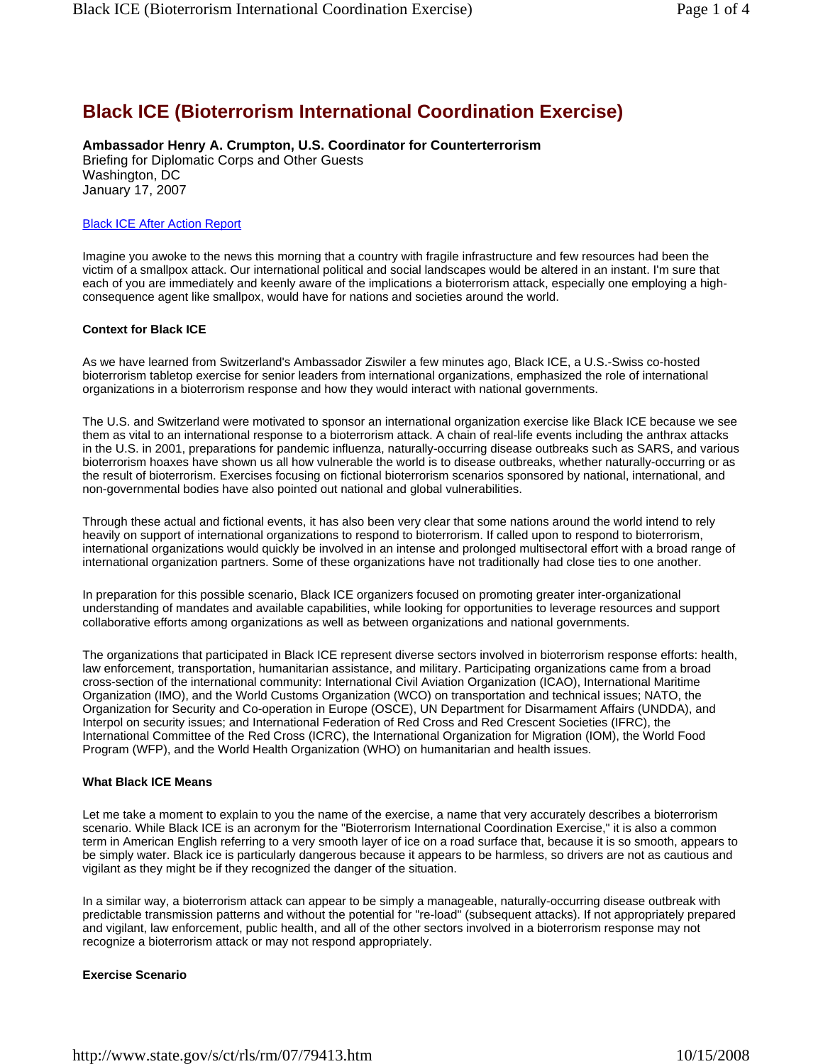# **Black ICE (Bioterrorism International Coordination Exercise)**

**Ambassador Henry A. Crumpton, U.S. Coordinator for Counterterrorism**

Briefing for Diplomatic Corps and Other Guests Washington, DC January 17, 2007

### Black ICE After Action Report

Imagine you awoke to the news this morning that a country with fragile infrastructure and few resources had been the victim of a smallpox attack. Our international political and social landscapes would be altered in an instant. I'm sure that each of you are immediately and keenly aware of the implications a bioterrorism attack, especially one employing a highconsequence agent like smallpox, would have for nations and societies around the world.

## **Context for Black ICE**

As we have learned from Switzerland's Ambassador Ziswiler a few minutes ago, Black ICE, a U.S.-Swiss co-hosted bioterrorism tabletop exercise for senior leaders from international organizations, emphasized the role of international organizations in a bioterrorism response and how they would interact with national governments.

The U.S. and Switzerland were motivated to sponsor an international organization exercise like Black ICE because we see them as vital to an international response to a bioterrorism attack. A chain of real-life events including the anthrax attacks in the U.S. in 2001, preparations for pandemic influenza, naturally-occurring disease outbreaks such as SARS, and various bioterrorism hoaxes have shown us all how vulnerable the world is to disease outbreaks, whether naturally-occurring or as the result of bioterrorism. Exercises focusing on fictional bioterrorism scenarios sponsored by national, international, and non-governmental bodies have also pointed out national and global vulnerabilities.

Through these actual and fictional events, it has also been very clear that some nations around the world intend to rely heavily on support of international organizations to respond to bioterrorism. If called upon to respond to bioterrorism, international organizations would quickly be involved in an intense and prolonged multisectoral effort with a broad range of international organization partners. Some of these organizations have not traditionally had close ties to one another.

In preparation for this possible scenario, Black ICE organizers focused on promoting greater inter-organizational understanding of mandates and available capabilities, while looking for opportunities to leverage resources and support collaborative efforts among organizations as well as between organizations and national governments.

The organizations that participated in Black ICE represent diverse sectors involved in bioterrorism response efforts: health, law enforcement, transportation, humanitarian assistance, and military. Participating organizations came from a broad cross-section of the international community: International Civil Aviation Organization (ICAO), International Maritime Organization (IMO), and the World Customs Organization (WCO) on transportation and technical issues; NATO, the Organization for Security and Co-operation in Europe (OSCE), UN Department for Disarmament Affairs (UNDDA), and Interpol on security issues; and International Federation of Red Cross and Red Crescent Societies (IFRC), the International Committee of the Red Cross (ICRC), the International Organization for Migration (IOM), the World Food Program (WFP), and the World Health Organization (WHO) on humanitarian and health issues.

### **What Black ICE Means**

Let me take a moment to explain to you the name of the exercise, a name that very accurately describes a bioterrorism scenario. While Black ICE is an acronym for the "Bioterrorism International Coordination Exercise," it is also a common term in American English referring to a very smooth layer of ice on a road surface that, because it is so smooth, appears to be simply water. Black ice is particularly dangerous because it appears to be harmless, so drivers are not as cautious and vigilant as they might be if they recognized the danger of the situation.

In a similar way, a bioterrorism attack can appear to be simply a manageable, naturally-occurring disease outbreak with predictable transmission patterns and without the potential for "re-load" (subsequent attacks). If not appropriately prepared and vigilant, law enforcement, public health, and all of the other sectors involved in a bioterrorism response may not recognize a bioterrorism attack or may not respond appropriately.

# **Exercise Scenario**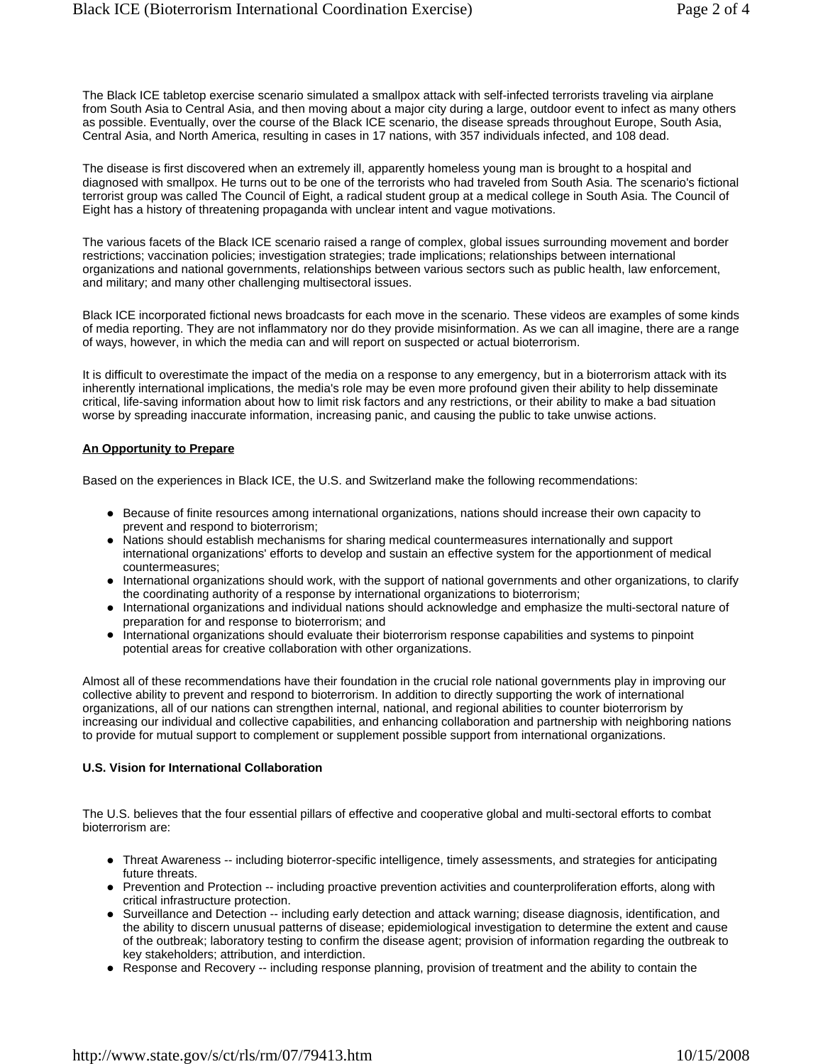The Black ICE tabletop exercise scenario simulated a smallpox attack with self-infected terrorists traveling via airplane from South Asia to Central Asia, and then moving about a major city during a large, outdoor event to infect as many others as possible. Eventually, over the course of the Black ICE scenario, the disease spreads throughout Europe, South Asia, Central Asia, and North America, resulting in cases in 17 nations, with 357 individuals infected, and 108 dead.

The disease is first discovered when an extremely ill, apparently homeless young man is brought to a hospital and diagnosed with smallpox. He turns out to be one of the terrorists who had traveled from South Asia. The scenario's fictional terrorist group was called The Council of Eight, a radical student group at a medical college in South Asia. The Council of Eight has a history of threatening propaganda with unclear intent and vague motivations.

The various facets of the Black ICE scenario raised a range of complex, global issues surrounding movement and border restrictions; vaccination policies; investigation strategies; trade implications; relationships between international organizations and national governments, relationships between various sectors such as public health, law enforcement, and military; and many other challenging multisectoral issues.

Black ICE incorporated fictional news broadcasts for each move in the scenario. These videos are examples of some kinds of media reporting. They are not inflammatory nor do they provide misinformation. As we can all imagine, there are a range of ways, however, in which the media can and will report on suspected or actual bioterrorism.

It is difficult to overestimate the impact of the media on a response to any emergency, but in a bioterrorism attack with its inherently international implications, the media's role may be even more profound given their ability to help disseminate critical, life-saving information about how to limit risk factors and any restrictions, or their ability to make a bad situation worse by spreading inaccurate information, increasing panic, and causing the public to take unwise actions.

### **An Opportunity to Prepare**

Based on the experiences in Black ICE, the U.S. and Switzerland make the following recommendations:

- Because of finite resources among international organizations, nations should increase their own capacity to prevent and respond to bioterrorism;
- Nations should establish mechanisms for sharing medical countermeasures internationally and support international organizations' efforts to develop and sustain an effective system for the apportionment of medical countermeasures;
- International organizations should work, with the support of national governments and other organizations, to clarify the coordinating authority of a response by international organizations to bioterrorism;
- International organizations and individual nations should acknowledge and emphasize the multi-sectoral nature of preparation for and response to bioterrorism; and
- International organizations should evaluate their bioterrorism response capabilities and systems to pinpoint potential areas for creative collaboration with other organizations.

Almost all of these recommendations have their foundation in the crucial role national governments play in improving our collective ability to prevent and respond to bioterrorism. In addition to directly supporting the work of international organizations, all of our nations can strengthen internal, national, and regional abilities to counter bioterrorism by increasing our individual and collective capabilities, and enhancing collaboration and partnership with neighboring nations to provide for mutual support to complement or supplement possible support from international organizations.

### **U.S. Vision for International Collaboration**

The U.S. believes that the four essential pillars of effective and cooperative global and multi-sectoral efforts to combat bioterrorism are:

- Threat Awareness -- including bioterror-specific intelligence, timely assessments, and strategies for anticipating future threats.
- Prevention and Protection -- including proactive prevention activities and counterproliferation efforts, along with critical infrastructure protection.
- Surveillance and Detection -- including early detection and attack warning; disease diagnosis, identification, and the ability to discern unusual patterns of disease; epidemiological investigation to determine the extent and cause of the outbreak; laboratory testing to confirm the disease agent; provision of information regarding the outbreak to key stakeholders; attribution, and interdiction.
- Response and Recovery -- including response planning, provision of treatment and the ability to contain the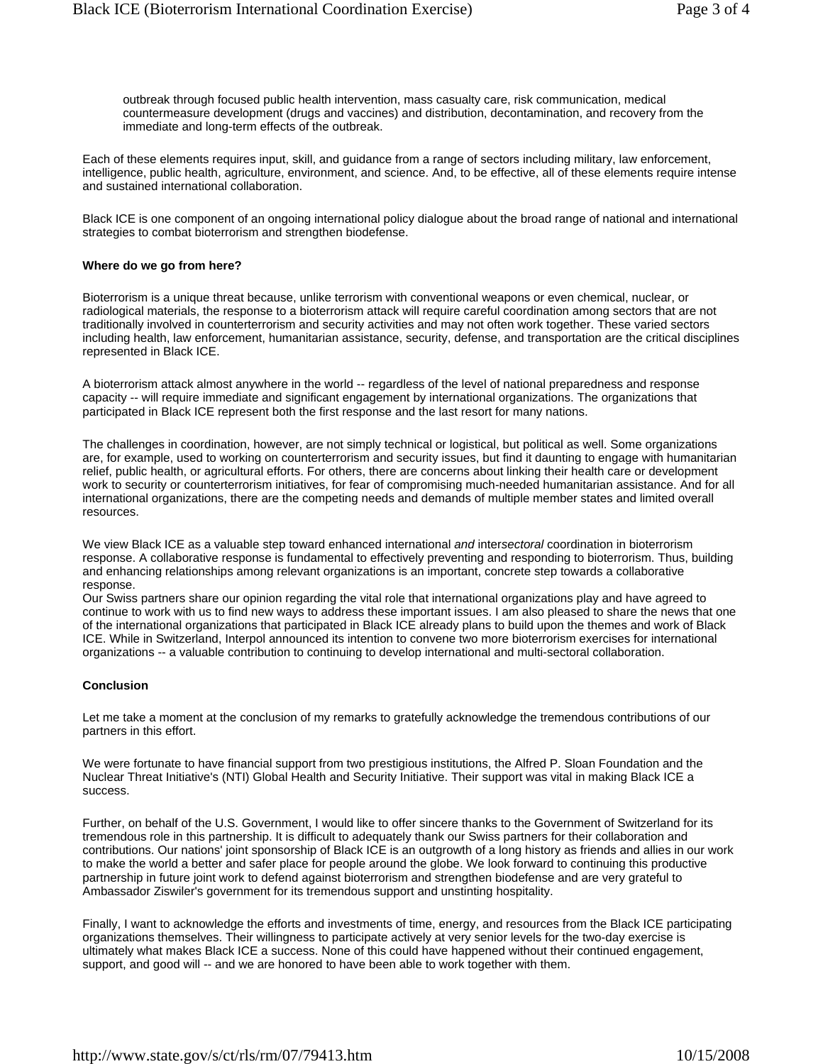outbreak through focused public health intervention, mass casualty care, risk communication, medical countermeasure development (drugs and vaccines) and distribution, decontamination, and recovery from the immediate and long-term effects of the outbreak.

Each of these elements requires input, skill, and guidance from a range of sectors including military, law enforcement, intelligence, public health, agriculture, environment, and science. And, to be effective, all of these elements require intense and sustained international collaboration.

Black ICE is one component of an ongoing international policy dialogue about the broad range of national and international strategies to combat bioterrorism and strengthen biodefense.

#### **Where do we go from here?**

Bioterrorism is a unique threat because, unlike terrorism with conventional weapons or even chemical, nuclear, or radiological materials, the response to a bioterrorism attack will require careful coordination among sectors that are not traditionally involved in counterterrorism and security activities and may not often work together. These varied sectors including health, law enforcement, humanitarian assistance, security, defense, and transportation are the critical disciplines represented in Black ICE.

A bioterrorism attack almost anywhere in the world -- regardless of the level of national preparedness and response capacity -- will require immediate and significant engagement by international organizations. The organizations that participated in Black ICE represent both the first response and the last resort for many nations.

The challenges in coordination, however, are not simply technical or logistical, but political as well. Some organizations are, for example, used to working on counterterrorism and security issues, but find it daunting to engage with humanitarian relief, public health, or agricultural efforts. For others, there are concerns about linking their health care or development work to security or counterterrorism initiatives, for fear of compromising much-needed humanitarian assistance. And for all international organizations, there are the competing needs and demands of multiple member states and limited overall resources.

We view Black ICE as a valuable step toward enhanced international *and* inter*sectoral* coordination in bioterrorism response. A collaborative response is fundamental to effectively preventing and responding to bioterrorism. Thus, building and enhancing relationships among relevant organizations is an important, concrete step towards a collaborative response.

Our Swiss partners share our opinion regarding the vital role that international organizations play and have agreed to continue to work with us to find new ways to address these important issues. I am also pleased to share the news that one of the international organizations that participated in Black ICE already plans to build upon the themes and work of Black ICE. While in Switzerland, Interpol announced its intention to convene two more bioterrorism exercises for international organizations -- a valuable contribution to continuing to develop international and multi-sectoral collaboration.

### **Conclusion**

Let me take a moment at the conclusion of my remarks to gratefully acknowledge the tremendous contributions of our partners in this effort.

We were fortunate to have financial support from two prestigious institutions, the Alfred P. Sloan Foundation and the Nuclear Threat Initiative's (NTI) Global Health and Security Initiative. Their support was vital in making Black ICE a success.

Further, on behalf of the U.S. Government, I would like to offer sincere thanks to the Government of Switzerland for its tremendous role in this partnership. It is difficult to adequately thank our Swiss partners for their collaboration and contributions. Our nations' joint sponsorship of Black ICE is an outgrowth of a long history as friends and allies in our work to make the world a better and safer place for people around the globe. We look forward to continuing this productive partnership in future joint work to defend against bioterrorism and strengthen biodefense and are very grateful to Ambassador Ziswiler's government for its tremendous support and unstinting hospitality.

Finally, I want to acknowledge the efforts and investments of time, energy, and resources from the Black ICE participating organizations themselves. Their willingness to participate actively at very senior levels for the two-day exercise is ultimately what makes Black ICE a success. None of this could have happened without their continued engagement, support, and good will -- and we are honored to have been able to work together with them.